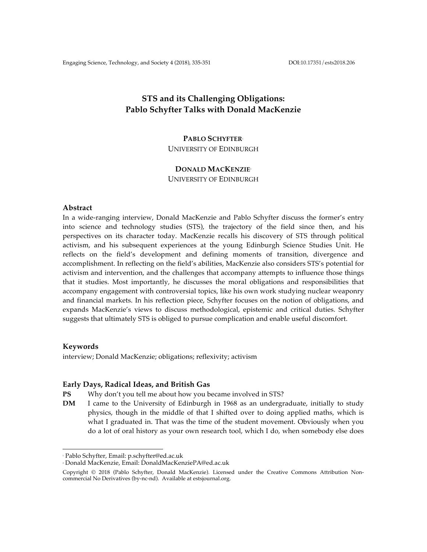# **STS and its Challenging Obligations: Pablo Schyfter Talks with Donald MacKenzie**

### **PABLO SCHYFTER**<sup>1</sup>

UNIVERSITY OF EDINBURGH

#### **DONALD MACKENZIE**<sup>2</sup>

UNIVERSITY OF EDINBURGH

#### **Abstract**

In a wide-ranging interview, Donald MacKenzie and Pablo Schyfter discuss the former's entry into science and technology studies (STS), the trajectory of the field since then, and his perspectives on its character today. MacKenzie recalls his discovery of STS through political activism, and his subsequent experiences at the young Edinburgh Science Studies Unit. He reflects on the field's development and defining moments of transition, divergence and accomplishment. In reflecting on the field's abilities, MacKenzie also considers STS's potential for activism and intervention, and the challenges that accompany attempts to influence those things that it studies. Most importantly, he discusses the moral obligations and responsibilities that accompany engagement with controversial topics, like his own work studying nuclear weaponry and financial markets. In his reflection piece, Schyfter focuses on the notion of obligations, and expands MacKenzie's views to discuss methodological, epistemic and critical duties. Schyfter suggests that ultimately STS is obliged to pursue complication and enable useful discomfort.

#### **Keywords**

interview; Donald MacKenzie; obligations; reflexivity; activism

#### **Early Days, Radical Ideas, and British Gas**

- **PS** Why don't you tell me about how you became involved in STS?
- **DM** I came to the University of Edinburgh in 1968 as an undergraduate, initially to study physics, though in the middle of that I shifted over to doing applied maths, which is what I graduated in. That was the time of the student movement. Obviously when you do a lot of oral history as your own research tool, which I do, when somebody else does

 <sup>1</sup> Pablo Schyfter, Email: p.schyfter@ed.ac.uk

<sup>2</sup> Donald MacKenzie, Email: DonaldMacKenziePA@ed.ac.uk

Copyright © 2018 (Pablo Schyfter, Donald MacKenzie). Licensed under the Creative Commons Attribution Noncommercial No Derivatives (by-nc-nd). Available at estsjournal.org.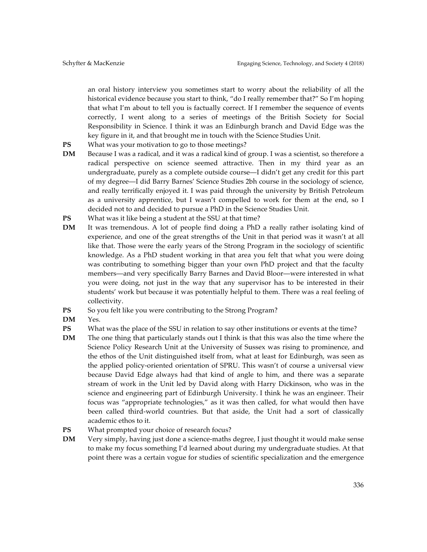an oral history interview you sometimes start to worry about the reliability of all the historical evidence because you start to think, "do I really remember that?" So I'm hoping that what I'm about to tell you is factually correct. If I remember the sequence of events correctly, I went along to a series of meetings of the British Society for Social Responsibility in Science. I think it was an Edinburgh branch and David Edge was the key figure in it, and that brought me in touch with the Science Studies Unit.

- **PS** What was your motivation to go to those meetings?
- **DM** Because I was a radical, and it was a radical kind of group. I was a scientist, so therefore a radical perspective on science seemed attractive. Then in my third year as an undergraduate, purely as a complete outside course—I didn't get any credit for this part of my degree—I did Barry Barnes' Science Studies 2bh course in the sociology of science, and really terrifically enjoyed it. I was paid through the university by British Petroleum as a university apprentice, but I wasn't compelled to work for them at the end, so I decided not to and decided to pursue a PhD in the Science Studies Unit.
- **PS** What was it like being a student at the SSU at that time?
- **DM** It was tremendous. A lot of people find doing a PhD a really rather isolating kind of experience, and one of the great strengths of the Unit in that period was it wasn't at all like that. Those were the early years of the Strong Program in the sociology of scientific knowledge. As a PhD student working in that area you felt that what you were doing was contributing to something bigger than your own PhD project and that the faculty members—and very specifically Barry Barnes and David Bloor—were interested in what you were doing, not just in the way that any supervisor has to be interested in their students' work but because it was potentially helpful to them. There was a real feeling of collectivity.
- **PS** So you felt like you were contributing to the Strong Program?
- **DM** Yes.
- **PS** What was the place of the SSU in relation to say other institutions or events at the time?
- **DM** The one thing that particularly stands out I think is that this was also the time where the Science Policy Research Unit at the University of Sussex was rising to prominence, and the ethos of the Unit distinguished itself from, what at least for Edinburgh, was seen as the applied policy-oriented orientation of SPRU. This wasn't of course a universal view because David Edge always had that kind of angle to him, and there was a separate stream of work in the Unit led by David along with Harry Dickinson, who was in the science and engineering part of Edinburgh University. I think he was an engineer. Their focus was "appropriate technologies," as it was then called, for what would then have been called third-world countries. But that aside, the Unit had a sort of classically academic ethos to it.
- **PS** What prompted your choice of research focus?
- **DM** Very simply, having just done a science-maths degree, I just thought it would make sense to make my focus something I'd learned about during my undergraduate studies. At that point there was a certain vogue for studies of scientific specialization and the emergence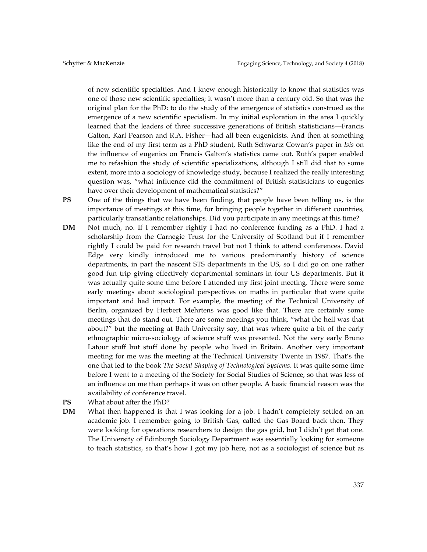of new scientific specialties. And I knew enough historically to know that statistics was one of those new scientific specialties; it wasn't more than a century old. So that was the original plan for the PhD: to do the study of the emergence of statistics construed as the emergence of a new scientific specialism. In my initial exploration in the area I quickly learned that the leaders of three successive generations of British statisticians—Francis Galton, Karl Pearson and R.A. Fisher—had all been eugenicists. And then at something like the end of my first term as a PhD student, Ruth Schwartz Cowan's paper in *Isis* on the influence of eugenics on Francis Galton's statistics came out. Ruth's paper enabled me to refashion the study of scientific specializations, although I still did that to some extent, more into a sociology of knowledge study, because I realized the really interesting question was, "what influence did the commitment of British statisticians to eugenics have over their development of mathematical statistics?"

**PS** One of the things that we have been finding, that people have been telling us, is the importance of meetings at this time, for bringing people together in different countries, particularly transatlantic relationships. Did you participate in any meetings at this time?

- **DM** Not much, no. If I remember rightly I had no conference funding as a PhD. I had a scholarship from the Carnegie Trust for the University of Scotland but if I remember rightly I could be paid for research travel but not I think to attend conferences. David Edge very kindly introduced me to various predominantly history of science departments, in part the nascent STS departments in the US, so I did go on one rather good fun trip giving effectively departmental seminars in four US departments. But it was actually quite some time before I attended my first joint meeting. There were some early meetings about sociological perspectives on maths in particular that were quite important and had impact. For example, the meeting of the Technical University of Berlin, organized by Herbert Mehrtens was good like that. There are certainly some meetings that do stand out. There are some meetings you think, "what the hell was that about?" but the meeting at Bath University say, that was where quite a bit of the early ethnographic micro-sociology of science stuff was presented. Not the very early Bruno Latour stuff but stuff done by people who lived in Britain. Another very important meeting for me was the meeting at the Technical University Twente in 1987. That's the one that led to the book *The Social Shaping of Technological Systems*. It was quite some time before I went to a meeting of the Society for Social Studies of Science, so that was less of an influence on me than perhaps it was on other people. A basic financial reason was the availability of conference travel.
- **PS** What about after the PhD?
- **DM** What then happened is that I was looking for a job. I hadn't completely settled on an academic job. I remember going to British Gas, called the Gas Board back then. They were looking for operations researchers to design the gas grid, but I didn't get that one. The University of Edinburgh Sociology Department was essentially looking for someone to teach statistics, so that's how I got my job here, not as a sociologist of science but as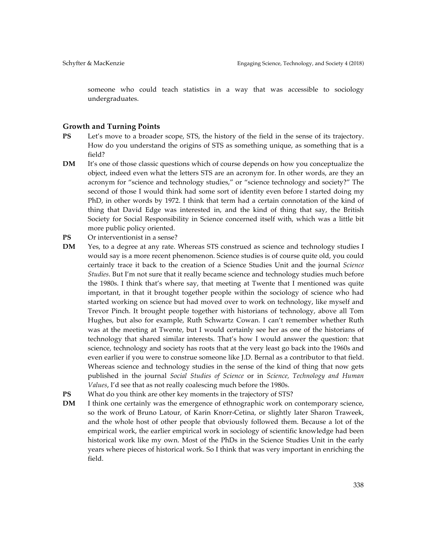someone who could teach statistics in a way that was accessible to sociology undergraduates.

#### **Growth and Turning Points**

- **PS** Let's move to a broader scope, STS, the history of the field in the sense of its trajectory. How do you understand the origins of STS as something unique, as something that is a field?
- **DM** It's one of those classic questions which of course depends on how you conceptualize the object, indeed even what the letters STS are an acronym for. In other words, are they an acronym for "science and technology studies," or "science technology and society?" The second of those I would think had some sort of identity even before I started doing my PhD, in other words by 1972. I think that term had a certain connotation of the kind of thing that David Edge was interested in, and the kind of thing that say, the British Society for Social Responsibility in Science concerned itself with, which was a little bit more public policy oriented.
- **PS** Or interventionist in a sense?
- **DM** Yes, to a degree at any rate. Whereas STS construed as science and technology studies I would say is a more recent phenomenon. Science studies is of course quite old, you could certainly trace it back to the creation of a Science Studies Unit and the journal *Science Studies*. But I'm not sure that it really became science and technology studies much before the 1980s. I think that's where say, that meeting at Twente that I mentioned was quite important, in that it brought together people within the sociology of science who had started working on science but had moved over to work on technology, like myself and Trevor Pinch. It brought people together with historians of technology, above all Tom Hughes, but also for example, Ruth Schwartz Cowan. I can't remember whether Ruth was at the meeting at Twente, but I would certainly see her as one of the historians of technology that shared similar interests. That's how I would answer the question: that science, technology and society has roots that at the very least go back into the 1960s and even earlier if you were to construe someone like J.D. Bernal as a contributor to that field. Whereas science and technology studies in the sense of the kind of thing that now gets published in the journal *Social Studies of Science* or in *Science, Technology and Human Values*, I'd see that as not really coalescing much before the 1980s.
- **PS** What do you think are other key moments in the trajectory of STS?
- **DM** I think one certainly was the emergence of ethnographic work on contemporary science, so the work of Bruno Latour, of Karin Knorr-Cetina, or slightly later Sharon Traweek, and the whole host of other people that obviously followed them. Because a lot of the empirical work, the earlier empirical work in sociology of scientific knowledge had been historical work like my own. Most of the PhDs in the Science Studies Unit in the early years where pieces of historical work. So I think that was very important in enriching the field.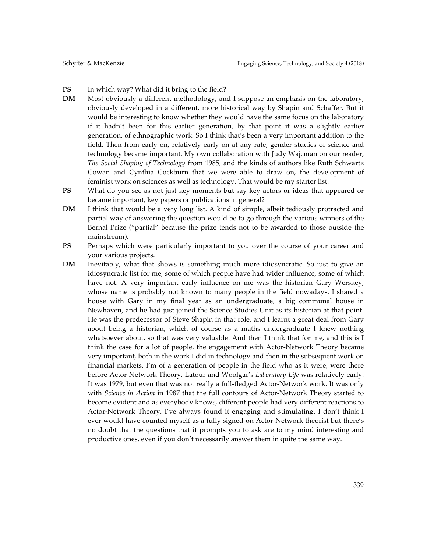### **PS** In which way? What did it bring to the field?

- **DM** Most obviously a different methodology, and I suppose an emphasis on the laboratory, obviously developed in a different, more historical way by Shapin and Schaffer. But it would be interesting to know whether they would have the same focus on the laboratory if it hadn't been for this earlier generation, by that point it was a slightly earlier generation, of ethnographic work. So I think that's been a very important addition to the field. Then from early on, relatively early on at any rate, gender studies of science and technology became important. My own collaboration with Judy Wajcman on our reader, *The Social Shaping of Technology* from 1985, and the kinds of authors like Ruth Schwartz Cowan and Cynthia Cockburn that we were able to draw on, the development of feminist work on sciences as well as technology. That would be my starter list.
- **PS** What do you see as not just key moments but say key actors or ideas that appeared or became important, key papers or publications in general?
- **DM** I think that would be a very long list. A kind of simple, albeit tediously protracted and partial way of answering the question would be to go through the various winners of the Bernal Prize ("partial" because the prize tends not to be awarded to those outside the mainstream).
- **PS** Perhaps which were particularly important to you over the course of your career and your various projects.
- **DM** Inevitably, what that shows is something much more idiosyncratic. So just to give an idiosyncratic list for me, some of which people have had wider influence, some of which have not. A very important early influence on me was the historian Gary Werskey, whose name is probably not known to many people in the field nowadays. I shared a house with Gary in my final year as an undergraduate, a big communal house in Newhaven, and he had just joined the Science Studies Unit as its historian at that point. He was the predecessor of Steve Shapin in that role, and I learnt a great deal from Gary about being a historian, which of course as a maths undergraduate I knew nothing whatsoever about, so that was very valuable. And then I think that for me, and this is I think the case for a lot of people, the engagement with Actor-Network Theory became very important, both in the work I did in technology and then in the subsequent work on financial markets. I'm of a generation of people in the field who as it were, were there before Actor-Network Theory. Latour and Woolgar's *Laboratory Life* was relatively early. It was 1979, but even that was not really a full-fledged Actor-Network work. It was only with *Science in Action* in 1987 that the full contours of Actor-Network Theory started to become evident and as everybody knows, different people had very different reactions to Actor-Network Theory. I've always found it engaging and stimulating. I don't think I ever would have counted myself as a fully signed-on Actor-Network theorist but there's no doubt that the questions that it prompts you to ask are to my mind interesting and productive ones, even if you don't necessarily answer them in quite the same way.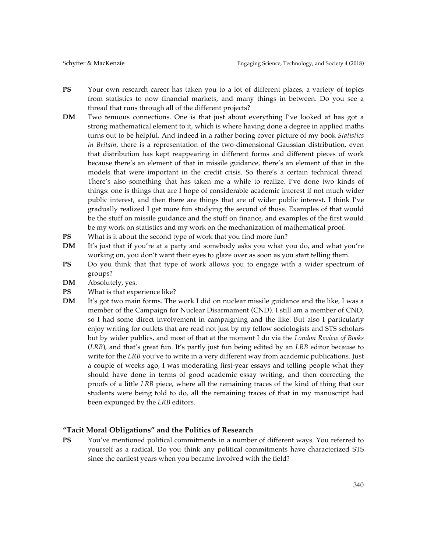- **PS** Your own research career has taken you to a lot of different places, a variety of topics from statistics to now financial markets, and many things in between. Do you see a thread that runs through all of the different projects?
- **DM** Two tenuous connections. One is that just about everything I've looked at has got a strong mathematical element to it, which is where having done a degree in applied maths turns out to be helpful. And indeed in a rather boring cover picture of my book *Statistics in Britain*, there is a representation of the two-dimensional Gaussian distribution, even that distribution has kept reappearing in different forms and different pieces of work because there's an element of that in missile guidance, there's an element of that in the models that were important in the credit crisis. So there's a certain technical thread. There's also something that has taken me a while to realize. I've done two kinds of things: one is things that are I hope of considerable academic interest if not much wider public interest, and then there are things that are of wider public interest. I think I've gradually realized I get more fun studying the second of those. Examples of that would be the stuff on missile guidance and the stuff on finance, and examples of the first would be my work on statistics and my work on the mechanization of mathematical proof.
- **PS** What is it about the second type of work that you find more fun?
- **DM** It's just that if you're at a party and somebody asks you what you do, and what you're working on, you don't want their eyes to glaze over as soon as you start telling them.
- **PS** Do you think that that type of work allows you to engage with a wider spectrum of groups?
- **DM** Absolutely, yes.
- **PS** What is that experience like?
- **DM** It's got two main forms. The work I did on nuclear missile guidance and the like, I was a member of the Campaign for Nuclear Disarmament (CND). I still am a member of CND, so I had some direct involvement in campaigning and the like. But also I particularly enjoy writing for outlets that are read not just by my fellow sociologists and STS scholars but by wider publics, and most of that at the moment I do via the *London Review of Books*  (*LRB*), and that's great fun. It's partly just fun being edited by an *LRB* editor because to write for the *LRB* you've to write in a very different way from academic publications. Just a couple of weeks ago, I was moderating first-year essays and telling people what they should have done in terms of good academic essay writing, and then correcting the proofs of a little *LRB* piece, where all the remaining traces of the kind of thing that our students were being told to do, all the remaining traces of that in my manuscript had been expunged by the *LRB* editors.

#### **"Tacit Moral Obligations" and the Politics of Research**

**PS** You've mentioned political commitments in a number of different ways. You referred to yourself as a radical. Do you think any political commitments have characterized STS since the earliest years when you became involved with the field?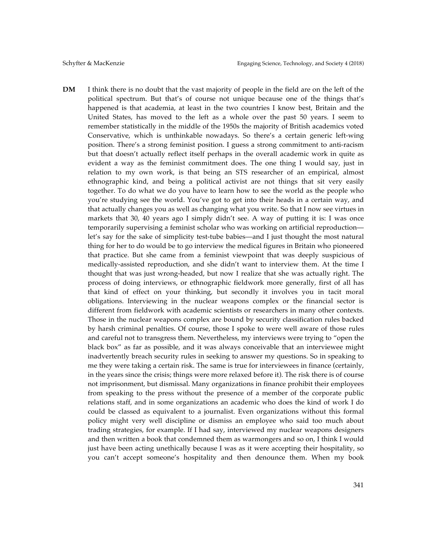**DM** I think there is no doubt that the vast majority of people in the field are on the left of the political spectrum. But that's of course not unique because one of the things that's happened is that academia, at least in the two countries I know best, Britain and the United States, has moved to the left as a whole over the past 50 years. I seem to remember statistically in the middle of the 1950s the majority of British academics voted Conservative, which is unthinkable nowadays. So there's a certain generic left-wing position. There's a strong feminist position. I guess a strong commitment to anti-racism but that doesn't actually reflect itself perhaps in the overall academic work in quite as evident a way as the feminist commitment does. The one thing I would say, just in relation to my own work, is that being an STS researcher of an empirical, almost ethnographic kind, and being a political activist are not things that sit very easily together. To do what we do you have to learn how to see the world as the people who you're studying see the world. You've got to get into their heads in a certain way, and that actually changes you as well as changing what you write. So that I now see virtues in markets that 30, 40 years ago I simply didn't see. A way of putting it is: I was once temporarily supervising a feminist scholar who was working on artificial reproduction let's say for the sake of simplicity test-tube babies—and I just thought the most natural thing for her to do would be to go interview the medical figures in Britain who pioneered that practice. But she came from a feminist viewpoint that was deeply suspicious of medically-assisted reproduction, and she didn't want to interview them. At the time I thought that was just wrong-headed, but now I realize that she was actually right. The process of doing interviews, or ethnographic fieldwork more generally, first of all has that kind of effect on your thinking, but secondly it involves you in tacit moral obligations. Interviewing in the nuclear weapons complex or the financial sector is different from fieldwork with academic scientists or researchers in many other contexts. Those in the nuclear weapons complex are bound by security classification rules backed by harsh criminal penalties. Of course, those I spoke to were well aware of those rules and careful not to transgress them. Nevertheless, my interviews were trying to "open the black box" as far as possible, and it was always conceivable that an interviewee might inadvertently breach security rules in seeking to answer my questions. So in speaking to me they were taking a certain risk. The same is true for interviewees in finance (certainly, in the years since the crisis; things were more relaxed before it). The risk there is of course not imprisonment, but dismissal. Many organizations in finance prohibit their employees from speaking to the press without the presence of a member of the corporate public relations staff, and in some organizations an academic who does the kind of work I do could be classed as equivalent to a journalist. Even organizations without this formal policy might very well discipline or dismiss an employee who said too much about trading strategies, for example. If I had say, interviewed my nuclear weapons designers and then written a book that condemned them as warmongers and so on, I think I would just have been acting unethically because I was as it were accepting their hospitality, so you can't accept someone's hospitality and then denounce them. When my book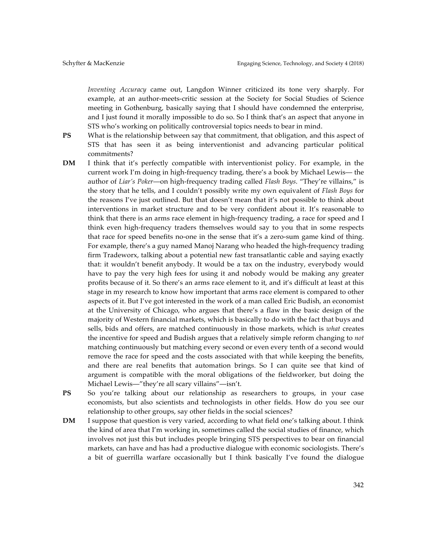*Inventing Accuracy* came out, Langdon Winner criticized its tone very sharply. For example, at an author-meets-critic session at the Society for Social Studies of Science meeting in Gothenburg, basically saying that I should have condemned the enterprise, and I just found it morally impossible to do so. So I think that's an aspect that anyone in STS who's working on politically controversial topics needs to bear in mind.

**PS** What is the relationship between say that commitment, that obligation, and this aspect of STS that has seen it as being interventionist and advancing particular political commitments?

- **DM** I think that it's perfectly compatible with interventionist policy. For example, in the current work I'm doing in high-frequency trading, there's a book by Michael Lewis— the author of *Liar's Poker*—on high-frequency trading called *Flash Boys*. "They're villains," is the story that he tells, and I couldn't possibly write my own equivalent of *Flash Boys* for the reasons I've just outlined. But that doesn't mean that it's not possible to think about interventions in market structure and to be very confident about it. It's reasonable to think that there is an arms race element in high-frequency trading, a race for speed and I think even high-frequency traders themselves would say to you that in some respects that race for speed benefits no-one in the sense that it's a zero-sum game kind of thing. For example, there's a guy named Manoj Narang who headed the high-frequency trading firm Tradeworx, talking about a potential new fast transatlantic cable and saying exactly that: it wouldn't benefit anybody. It would be a tax on the industry, everybody would have to pay the very high fees for using it and nobody would be making any greater profits because of it. So there's an arms race element to it, and it's difficult at least at this stage in my research to know how important that arms race element is compared to other aspects of it. But I've got interested in the work of a man called Eric Budish, an economist at the University of Chicago, who argues that there's a flaw in the basic design of the majority of Western financial markets, which is basically to do with the fact that buys and sells, bids and offers, are matched continuously in those markets, which is *what* creates the incentive for speed and Budish argues that a relatively simple reform changing to *not* matching continuously but matching every second or even every tenth of a second would remove the race for speed and the costs associated with that while keeping the benefits, and there are real benefits that automation brings. So I can quite see that kind of argument is compatible with the moral obligations of the fieldworker, but doing the Michael Lewis—"they're all scary villains"—isn't.
- **PS** So you're talking about our relationship as researchers to groups, in your case economists, but also scientists and technologists in other fields. How do you see our relationship to other groups, say other fields in the social sciences?
- **DM** I suppose that question is very varied, according to what field one's talking about. I think the kind of area that I'm working in, sometimes called the social studies of finance, which involves not just this but includes people bringing STS perspectives to bear on financial markets, can have and has had a productive dialogue with economic sociologists. There's a bit of guerrilla warfare occasionally but I think basically I've found the dialogue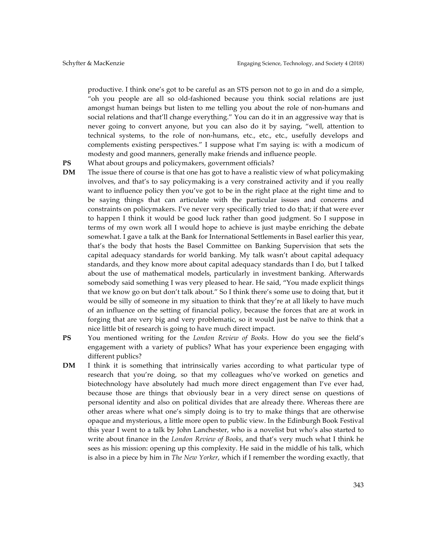productive. I think one's got to be careful as an STS person not to go in and do a simple, "oh you people are all so old-fashioned because you think social relations are just amongst human beings but listen to me telling you about the role of non-humans and social relations and that'll change everything." You can do it in an aggressive way that is never going to convert anyone, but you can also do it by saying, "well, attention to technical systems, to the role of non-humans, etc., etc., etc., usefully develops and complements existing perspectives." I suppose what I'm saying is: with a modicum of modesty and good manners, generally make friends and influence people.

**PS** What about groups and policymakers, government officials?

- **DM** The issue there of course is that one has got to have a realistic view of what policymaking involves, and that's to say policymaking is a very constrained activity and if you really want to influence policy then you've got to be in the right place at the right time and to be saying things that can articulate with the particular issues and concerns and constraints on policymakers. I've never very specifically tried to do that; if that were ever to happen I think it would be good luck rather than good judgment. So I suppose in terms of my own work all I would hope to achieve is just maybe enriching the debate somewhat. I gave a talk at the Bank for International Settlements in Basel earlier this year, that's the body that hosts the Basel Committee on Banking Supervision that sets the capital adequacy standards for world banking. My talk wasn't about capital adequacy standards, and they know more about capital adequacy standards than I do, but I talked about the use of mathematical models, particularly in investment banking. Afterwards somebody said something I was very pleased to hear. He said, "You made explicit things that we know go on but don't talk about." So I think there's some use to doing that, but it would be silly of someone in my situation to think that they're at all likely to have much of an influence on the setting of financial policy, because the forces that are at work in forging that are very big and very problematic, so it would just be naïve to think that a nice little bit of research is going to have much direct impact.
- **PS** You mentioned writing for the *London Review of Books*. How do you see the field's engagement with a variety of publics? What has your experience been engaging with different publics?
- **DM** I think it is something that intrinsically varies according to what particular type of research that you're doing, so that my colleagues who've worked on genetics and biotechnology have absolutely had much more direct engagement than I've ever had, because those are things that obviously bear in a very direct sense on questions of personal identity and also on political divides that are already there. Whereas there are other areas where what one's simply doing is to try to make things that are otherwise opaque and mysterious, a little more open to public view. In the Edinburgh Book Festival this year I went to a talk by John Lanchester, who is a novelist but who's also started to write about finance in the *London Review of Books*, and that's very much what I think he sees as his mission: opening up this complexity. He said in the middle of his talk, which is also in a piece by him in *The New Yorker*, which if I remember the wording exactly, that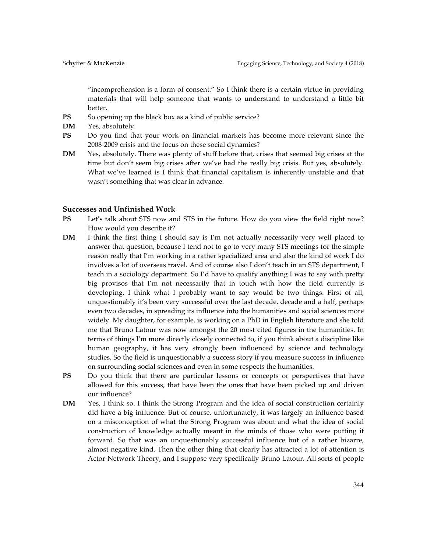"incomprehension is a form of consent." So I think there is a certain virtue in providing materials that will help someone that wants to understand to understand a little bit better.

- **PS** So opening up the black box as a kind of public service?
- **DM** Yes, absolutely.
- **PS** Do you find that your work on financial markets has become more relevant since the 2008-2009 crisis and the focus on these social dynamics?
- **DM** Yes, absolutely. There was plenty of stuff before that, crises that seemed big crises at the time but don't seem big crises after we've had the really big crisis. But yes, absolutely. What we've learned is I think that financial capitalism is inherently unstable and that wasn't something that was clear in advance.

#### **Successes and Unfinished Work**

- **PS** Let's talk about STS now and STS in the future. How do you view the field right now? How would you describe it?
- **DM** I think the first thing I should say is I'm not actually necessarily very well placed to answer that question, because I tend not to go to very many STS meetings for the simple reason really that I'm working in a rather specialized area and also the kind of work I do involves a lot of overseas travel. And of course also I don't teach in an STS department, I teach in a sociology department. So I'd have to qualify anything I was to say with pretty big provisos that I'm not necessarily that in touch with how the field currently is developing. I think what I probably want to say would be two things. First of all, unquestionably it's been very successful over the last decade, decade and a half, perhaps even two decades, in spreading its influence into the humanities and social sciences more widely. My daughter, for example, is working on a PhD in English literature and she told me that Bruno Latour was now amongst the 20 most cited figures in the humanities. In terms of things I'm more directly closely connected to, if you think about a discipline like human geography, it has very strongly been influenced by science and technology studies. So the field is unquestionably a success story if you measure success in influence on surrounding social sciences and even in some respects the humanities.
- PS Do you think that there are particular lessons or concepts or perspectives that have allowed for this success, that have been the ones that have been picked up and driven our influence?
- **DM** Yes, I think so. I think the Strong Program and the idea of social construction certainly did have a big influence. But of course, unfortunately, it was largely an influence based on a misconception of what the Strong Program was about and what the idea of social construction of knowledge actually meant in the minds of those who were putting it forward. So that was an unquestionably successful influence but of a rather bizarre, almost negative kind. Then the other thing that clearly has attracted a lot of attention is Actor-Network Theory, and I suppose very specifically Bruno Latour. All sorts of people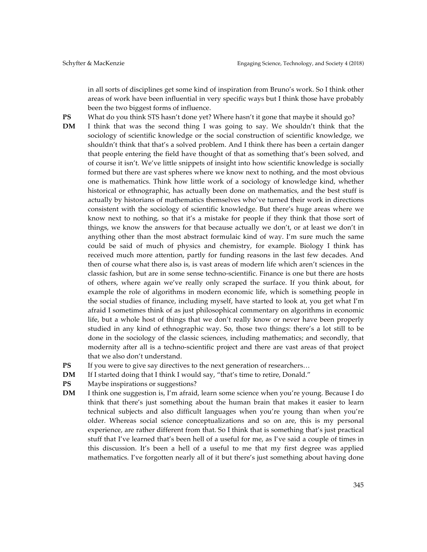in all sorts of disciplines get some kind of inspiration from Bruno's work. So I think other areas of work have been influential in very specific ways but I think those have probably been the two biggest forms of influence.

- **PS** What do you think STS hasn't done yet? Where hasn't it gone that maybe it should go?
- **DM** I think that was the second thing I was going to say. We shouldn't think that the sociology of scientific knowledge or the social construction of scientific knowledge, we shouldn't think that that's a solved problem. And I think there has been a certain danger that people entering the field have thought of that as something that's been solved, and of course it isn't. We've little snippets of insight into how scientific knowledge is socially formed but there are vast spheres where we know next to nothing, and the most obvious one is mathematics. Think how little work of a sociology of knowledge kind, whether historical or ethnographic, has actually been done on mathematics, and the best stuff is actually by historians of mathematics themselves who've turned their work in directions consistent with the sociology of scientific knowledge. But there's huge areas where we know next to nothing, so that it's a mistake for people if they think that those sort of things, we know the answers for that because actually we don't, or at least we don't in anything other than the most abstract formulaic kind of way. I'm sure much the same could be said of much of physics and chemistry, for example. Biology I think has received much more attention, partly for funding reasons in the last few decades. And then of course what there also is, is vast areas of modern life which aren't sciences in the classic fashion, but are in some sense techno-scientific. Finance is one but there are hosts of others, where again we've really only scraped the surface. If you think about, for example the role of algorithms in modern economic life, which is something people in the social studies of finance, including myself, have started to look at, you get what I'm afraid I sometimes think of as just philosophical commentary on algorithms in economic life, but a whole host of things that we don't really know or never have been properly studied in any kind of ethnographic way. So, those two things: there's a lot still to be done in the sociology of the classic sciences, including mathematics; and secondly, that modernity after all is a techno-scientific project and there are vast areas of that project that we also don't understand.
- **PS** If you were to give say directives to the next generation of researchers...
- **DM** If I started doing that I think I would say, "that's time to retire, Donald."
- **PS** Maybe inspirations or suggestions?
- **DM** I think one suggestion is, I'm afraid, learn some science when you're young. Because I do think that there's just something about the human brain that makes it easier to learn technical subjects and also difficult languages when you're young than when you're older. Whereas social science conceptualizations and so on are, this is my personal experience, are rather different from that. So I think that is something that's just practical stuff that I've learned that's been hell of a useful for me, as I've said a couple of times in this discussion. It's been a hell of a useful to me that my first degree was applied mathematics. I've forgotten nearly all of it but there's just something about having done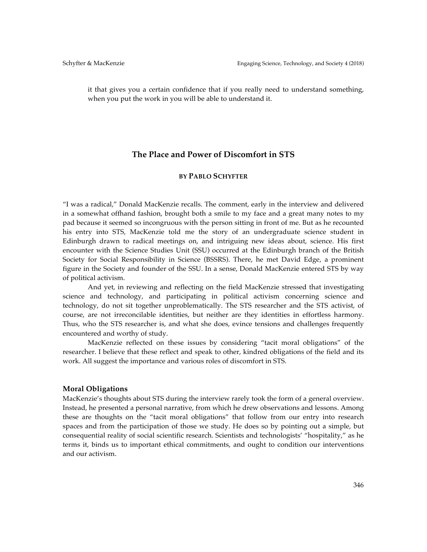it that gives you a certain confidence that if you really need to understand something, when you put the work in you will be able to understand it.

## **The Place and Power of Discomfort in STS**

#### **BY PABLO SCHYFTER**

"I was a radical," Donald MacKenzie recalls. The comment, early in the interview and delivered in a somewhat offhand fashion, brought both a smile to my face and a great many notes to my pad because it seemed so incongruous with the person sitting in front of me. But as he recounted his entry into STS, MacKenzie told me the story of an undergraduate science student in Edinburgh drawn to radical meetings on, and intriguing new ideas about, science. His first encounter with the Science Studies Unit (SSU) occurred at the Edinburgh branch of the British Society for Social Responsibility in Science (BSSRS). There, he met David Edge, a prominent figure in the Society and founder of the SSU. In a sense, Donald MacKenzie entered STS by way of political activism.

And yet, in reviewing and reflecting on the field MacKenzie stressed that investigating science and technology, and participating in political activism concerning science and technology, do not sit together unproblematically. The STS researcher and the STS activist, of course, are not irreconcilable identities, but neither are they identities in effortless harmony. Thus, who the STS researcher is, and what she does, evince tensions and challenges frequently encountered and worthy of study.

MacKenzie reflected on these issues by considering "tacit moral obligations" of the researcher. I believe that these reflect and speak to other, kindred obligations of the field and its work. All suggest the importance and various roles of discomfort in STS.

#### **Moral Obligations**

MacKenzie's thoughts about STS during the interview rarely took the form of a general overview. Instead, he presented a personal narrative, from which he drew observations and lessons. Among these are thoughts on the "tacit moral obligations" that follow from our entry into research spaces and from the participation of those we study. He does so by pointing out a simple, but consequential reality of social scientific research. Scientists and technologists' "hospitality," as he terms it, binds us to important ethical commitments, and ought to condition our interventions and our activism.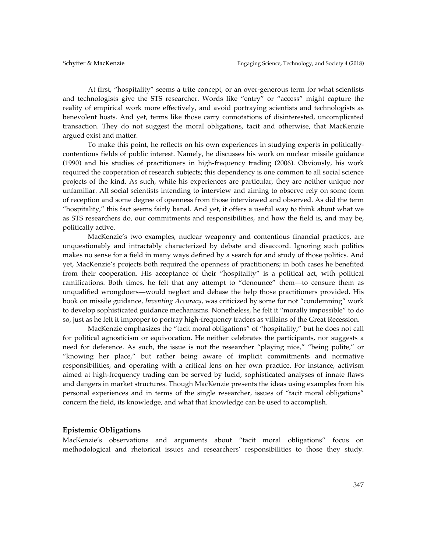At first, "hospitality" seems a trite concept, or an over-generous term for what scientists and technologists give the STS researcher. Words like "entry" or "access" might capture the reality of empirical work more effectively, and avoid portraying scientists and technologists as benevolent hosts. And yet, terms like those carry connotations of disinterested, uncomplicated transaction. They do not suggest the moral obligations, tacit and otherwise, that MacKenzie argued exist and matter.

To make this point, he reflects on his own experiences in studying experts in politicallycontentious fields of public interest. Namely, he discusses his work on nuclear missile guidance (1990) and his studies of practitioners in high-frequency trading (2006). Obviously, his work required the cooperation of research subjects; this dependency is one common to all social science projects of the kind. As such, while his experiences are particular, they are neither unique nor unfamiliar. All social scientists intending to interview and aiming to observe rely on some form of reception and some degree of openness from those interviewed and observed. As did the term "hospitality," this fact seems fairly banal. And yet, it offers a useful way to think about what we as STS researchers do, our commitments and responsibilities, and how the field is, and may be, politically active.

MacKenzie's two examples, nuclear weaponry and contentious financial practices, are unquestionably and intractably characterized by debate and disaccord. Ignoring such politics makes no sense for a field in many ways defined by a search for and study of those politics. And yet, MacKenzie's projects both required the openness of practitioners; in both cases he benefited from their cooperation. His acceptance of their "hospitality" is a political act, with political ramifications. Both times, he felt that any attempt to "denounce" them—to censure them as unqualified wrongdoers—would neglect and debase the help those practitioners provided. His book on missile guidance, *Inventing Accuracy*, was criticized by some for not "condemning" work to develop sophisticated guidance mechanisms. Nonetheless, he felt it "morally impossible" to do so, just as he felt it improper to portray high-frequency traders as villains of the Great Recession.

MacKenzie emphasizes the "tacit moral obligations" of "hospitality," but he does not call for political agnosticism or equivocation. He neither celebrates the participants, nor suggests a need for deference. As such, the issue is not the researcher "playing nice," "being polite," or "knowing her place," but rather being aware of implicit commitments and normative responsibilities, and operating with a critical lens on her own practice. For instance, activism aimed at high-frequency trading can be served by lucid, sophisticated analyses of innate flaws and dangers in market structures. Though MacKenzie presents the ideas using examples from his personal experiences and in terms of the single researcher, issues of "tacit moral obligations" concern the field, its knowledge, and what that knowledge can be used to accomplish.

#### **Epistemic Obligations**

MacKenzie's observations and arguments about "tacit moral obligations" focus on methodological and rhetorical issues and researchers' responsibilities to those they study.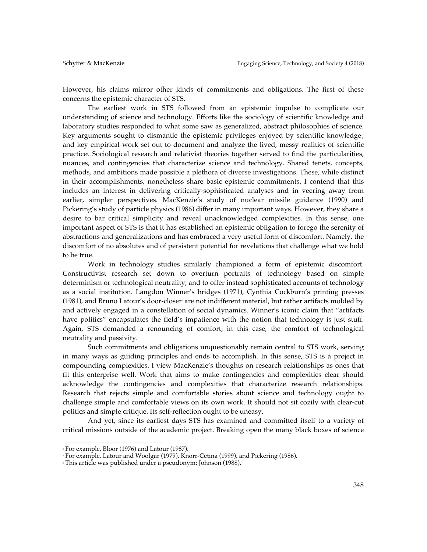However, his claims mirror other kinds of commitments and obligations. The first of these concerns the epistemic character of STS.

The earliest work in STS followed from an epistemic impulse to complicate our understanding of science and technology. Efforts like the sociology of scientific knowledge and laboratory studies responded to what some saw as generalized, abstract philosophies of science. Key arguments sought to dismantle the epistemic privileges enjoyed by scientific knowledge, and key empirical work set out to document and analyze the lived, messy realities of scientific practice4 . Sociological research and relativist theories together served to find the particularities, nuances, and contingencies that characterize science and technology. Shared tenets, concepts, methods, and ambitions made possible a plethora of diverse investigations. These, while distinct in their accomplishments, nonetheless share basic epistemic commitments. I contend that this includes an interest in delivering critically-sophisticated analyses and in veering away from earlier, simpler perspectives. MacKenzie's study of nuclear missile guidance (1990) and Pickering's study of particle physics (1986) differ in many important ways. However, they share a desire to bar critical simplicity and reveal unacknowledged complexities. In this sense, one important aspect of STS is that it has established an epistemic obligation to forego the serenity of abstractions and generalizations and has embraced a very useful form of discomfort. Namely, the discomfort of no absolutes and of persistent potential for revelations that challenge what we hold to be true.

Work in technology studies similarly championed a form of epistemic discomfort. Constructivist research set down to overturn portraits of technology based on simple determinism or technological neutrality, and to offer instead sophisticated accounts of technology as a social institution. Langdon Winner's bridges (1971), Cynthia Cockburn's printing presses  $(1981)$ , and Bruno Latour's door-closer are not indifferent material, but rather artifacts molded by and actively engaged in a constellation of social dynamics. Winner's iconic claim that "artifacts have politics" encapsulates the field's impatience with the notion that technology is just stuff. Again, STS demanded a renouncing of comfort; in this case, the comfort of technological neutrality and passivity.

Such commitments and obligations unquestionably remain central to STS work, serving in many ways as guiding principles and ends to accomplish. In this sense, STS is a project in compounding complexities. I view MacKenzie's thoughts on research relationships as ones that fit this enterprise well. Work that aims to make contingencies and complexities clear should acknowledge the contingencies and complexities that characterize research relationships. Research that rejects simple and comfortable stories about science and technology ought to challenge simple and comfortable views on its own work. It should not sit cozily with clear-cut politics and simple critique. Its self-reflection ought to be uneasy.

And yet, since its earliest days STS has examined and committed itself to a variety of critical missions outside of the academic project. Breaking open the many black boxes of science

 

<sup>3</sup> For example, Bloor (1976) and Latour (1987).

<sup>4</sup> For example, Latour and Woolgar (1979), Knorr-Cetina (1999), and Pickering (1986).

<sup>5</sup> This article was published under a pseudonym: Johnson (1988).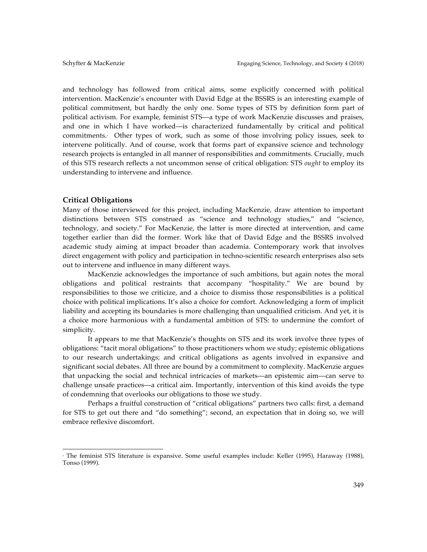and technology has followed from critical aims, some explicitly concerned with political intervention. MacKenzie's encounter with David Edge at the BSSRS is an interesting example of political commitment, but hardly the only one. Some types of STS by definition form part of political activism. For example, feminist STS—a type of work MacKenzie discusses and praises, and one in which I have worked—is characterized fundamentally by critical and political commitments.6 Other types of work, such as some of those involving policy issues, seek to intervene politically. And of course, work that forms part of expansive science and technology research projects is entangled in all manner of responsibilities and commitments. Crucially, much of this STS research reflects a not uncommon sense of critical obligation: STS *ought* to employ its understanding to intervene and influence.

#### **Critical Obligations**

 

Many of those interviewed for this project, including MacKenzie, draw attention to important distinctions between STS construed as "science and technology studies," and "science, technology, and society." For MacKenzie, the latter is more directed at intervention, and came together earlier than did the former. Work like that of David Edge and the BSSRS involved academic study aiming at impact broader than academia. Contemporary work that involves direct engagement with policy and participation in techno-scientific research enterprises also sets out to intervene and influence in many different ways.

MacKenzie acknowledges the importance of such ambitions, but again notes the moral obligations and political restraints that accompany "hospitality." We are bound by responsibilities to those we criticize, and a choice to dismiss those responsibilities is a political choice with political implications. It's also a choice for comfort. Acknowledging a form of implicit liability and accepting its boundaries is more challenging than unqualified criticism. And yet, it is a choice more harmonious with a fundamental ambition of STS: to undermine the comfort of simplicity.

It appears to me that MacKenzie's thoughts on STS and its work involve three types of obligations: "tacit moral obligations" to those practitioners whom we study; epistemic obligations to our research undertakings; and critical obligations as agents involved in expansive and significant social debates. All three are bound by a commitment to complexity. MacKenzie argues that unpacking the social and technical intricacies of markets—an epistemic aim—can serve to challenge unsafe practices—a critical aim. Importantly, intervention of this kind avoids the type of condemning that overlooks our obligations to those we study.

Perhaps a fruitful construction of "critical obligations" partners two calls: first, a demand for STS to get out there and "do something"; second, an expectation that in doing so, we will embrace reflexive discomfort.

<sup>6</sup> The feminist STS literature is expansive. Some useful examples include: Keller (1995), Haraway (1988), Tonso (1999).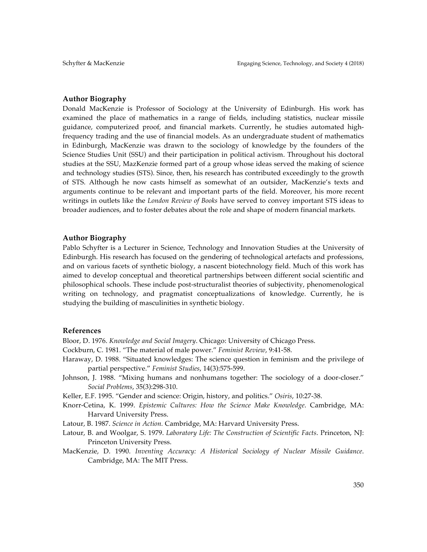#### **Author Biography**

Donald MacKenzie is Professor of Sociology at the University of Edinburgh. His work has examined the place of mathematics in a range of fields, including statistics, nuclear missile guidance, computerized proof, and financial markets. Currently, he studies automated highfrequency trading and the use of financial models. As an undergraduate student of mathematics in Edinburgh, MacKenzie was drawn to the sociology of knowledge by the founders of the Science Studies Unit (SSU) and their participation in political activism. Throughout his doctoral studies at the SSU, MazKenzie formed part of a group whose ideas served the making of science and technology studies (STS). Since, then, his research has contributed exceedingly to the growth of STS. Although he now casts himself as somewhat of an outsider, MacKenzie's texts and arguments continue to be relevant and important parts of the field. Moreover, his more recent writings in outlets like the *London Review of Books* have served to convey important STS ideas to broader audiences, and to foster debates about the role and shape of modern financial markets.

#### **Author Biography**

Pablo Schyfter is a Lecturer in Science, Technology and Innovation Studies at the University of Edinburgh. His research has focused on the gendering of technological artefacts and professions, and on various facets of synthetic biology, a nascent biotechnology field. Much of this work has aimed to develop conceptual and theoretical partnerships between different social scientific and philosophical schools. These include post-structuralist theories of subjectivity, phenomenological writing on technology, and pragmatist conceptualizations of knowledge. Currently, he is studying the building of masculinities in synthetic biology.

#### **References**

Bloor, D. 1976. *Knowledge and Social Imagery*. Chicago: University of Chicago Press.

- Cockburn, C. 1981. "The material of male power." *Feminist Review*, 9:41-58.
- Haraway, D. 1988. "Situated knowledges: The science question in feminism and the privilege of partial perspective." *Feminist Studies*, 14(3):575-599.
- Johnson, J. 1988. "Mixing humans and nonhumans together: The sociology of a door-closer." *Social Problems*, 35(3):298-310.
- Keller, E.F. 1995. "Gender and science: Origin, history, and politics." *Osiris*, 10:27-38.
- Knorr-Cetina, K. 1999. *Epistemic Cultures: How the Science Make Knowledge*. Cambridge, MA: Harvard University Press.
- Latour, B. 1987. *Science in Action.* Cambridge, MA: Harvard University Press.
- Latour, B. and Woolgar, S. 1979. *Laboratory Life: The Construction of Scientific Facts*. Princeton, NJ: Princeton University Press.
- MacKenzie, D. 1990. *Inventing Accuracy: A Historical Sociology of Nuclear Missile Guidance*. Cambridge, MA: The MIT Press.